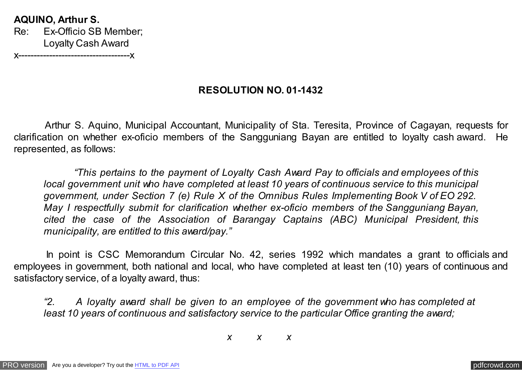**AQUINO, Arthur S.** Re: Ex-Officio SB Member; Loyalty Cash Award **x--------------------------------**

**RESOLUTION NO. 01-1432**

 Arthur S. Aquino, Municipal Accountant, Municipality of Sta. Teresita, Province of Cagayan, requests for clarification on whether ex-oficio members of the Sangguniang Bayan are entitled to loyalty cash award. He represented, as follows:

 *"This pertains to the payment of Loyalty Cash Award Pay to officials and employees of this local government unit who have completed at least 10 years of continuous service to this municipal government, under Section 7 (e) Rule X of the Omnibus Rules Implementing Book V of EO 292. May I respectfully submit for clarification whether ex-oficio members of the Sangguniang Bayan, cited the case of the Association of Barangay Captains (ABC) Municipal President, this municipality, are entitled to this award/pay."*

 In point is CSC Memorandum Circular No. 42, series 1992 which mandates a grant to officials and employees in government, both national and local, who have completed at least ten (10) years of continuous and satisfactory service, of a loyalty award, thus:

*"2. A loyalty award shall be given to an employee of the government who has completed at least 10 years of continuous and satisfactory service to the particular Office granting the award;*

*x x x*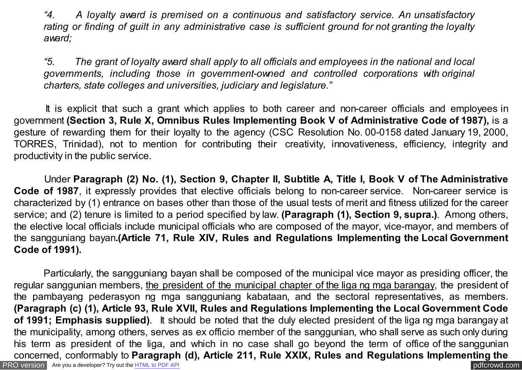*"4. A loyalty award is premised on a continuous and satisfactory service. An unsatisfactory rating or finding of guilt in any administrative case is sufficient ground for not granting the loyalty award;*

*"5. The grant of loyalty award shall apply to all officials and employees in the national and local governments, including those in government-owned and controlled corporations with original charters, state colleges and universities, judiciary and legislature."*

 It is explicit that such a grant which applies to both career and non-career officials and employees in government **(Section 3, Rule X, Omnibus Rules Implementing Book V of Administrative Code of 1987),** is a gesture of rewarding them for their loyalty to the agency (CSC Resolution No. 00-0158 dated January 19, 2000, TORRES, Trinidad), not to mention for contributing their creativity, innovativeness, efficiency, integrity and productivity in the public service.

 Under **Paragraph (2) No. (1), Section 9, Chapter II, Subtitle A, Title I, Book V of The Administrative Code of 1987**, it expressly provides that elective officials belong to non-career service. Non-career service is characterized by (1) entrance on bases other than those of the usual tests of merit and fitness utilized for the career service; and (2) tenure is limited to a period specified by law. **(Paragraph (1), Section 9, supra.)**. Among others, the elective local officials include municipal officials who are composed of the mayor, vice-mayor, and members of the sangguniang bayan**.(Article 71, Rule XIV, Rules and Regulations Implementing the Local Government Code of 1991).**

[PRO version](http://pdfcrowd.com/customize/) Are you a developer? Try out th[e HTML to PDF API](http://pdfcrowd.com/html-to-pdf-api/?ref=pdf) pdf crowd.com Particularly, the sangguniang bayan shall be composed of the municipal vice mayor as presiding officer, the regular sanggunian members, the president of the municipal chapter of the liga ng mga barangay, the president of the pambayang pederasyon ng mga sangguniang kabataan, and the sectoral representatives, as members. **(Paragraph (c) (1), Article 93, Rule XVII, Rules and Regulations Implementing the Local Government Code of 1991; Emphasis supplied)**. It should be noted that the duly elected president of the liga ng mga barangay at the municipality, among others, serves as ex officio member of the sanggunian, who shall serve as such only during his term as president of the liga, and which in no case shall go beyond the term of office of the sanggunian concerned, conformably to **Paragraph (d), Article 211, Rule XXIX, Rules and Regulations Implementing the**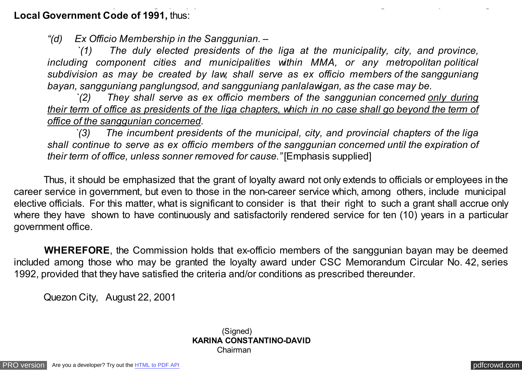**Local Government Code of 1991,** thus:

*"(d) Ex Officio Membership in the Sanggunian. –*

 *`(1) The duly elected presidents of the liga at the municipality, city, and province, including component cities and municipalities within MMA, or any metropolitan political subdivision as may be created by law, shall serve as ex officio members of the sangguniang bayan, sangguniang panglungsod, and sangguniang panlalawigan, as the case may be.*

concerned, conformably to **Paragraph (d), Article 211, Rule XXIX, Rules and Regulations Implementing the**

 *`(2) They shall serve as ex officio members of the sanggunian concerned only during their term of office as presidents of the liga chapters, which in no case shall go beyond the term of office of the sanggunian concerned.*

 *`(3) The incumbent presidents of the municipal, city, and provincial chapters of the liga shall continue to serve as ex officio members of the sanggunian concerned until the expiration of their term of office, unless sonner removed for cause."* [Emphasis supplied]

 Thus, it should be emphasized that the grant of loyalty award not only extends to officials or employees in the career service in government, but even to those in the non-career service which, among others, include municipal elective officials. For this matter, what is significant to consider is that their right to such a grant shall accrue only where they have shown to have continuously and satisfactorily rendered service for ten (10) years in a particular government office.

 **WHEREFORE**, the Commission holds that ex-officio members of the sanggunian bayan may be deemed included among those who may be granted the loyalty award under CSC Memorandum Circular No. 42, series 1992, provided that they have satisfied the criteria and/or conditions as prescribed thereunder.

Quezon City, August 22, 2001

(Signed) **KARINA CONSTANTINO-DAVID** Chairman